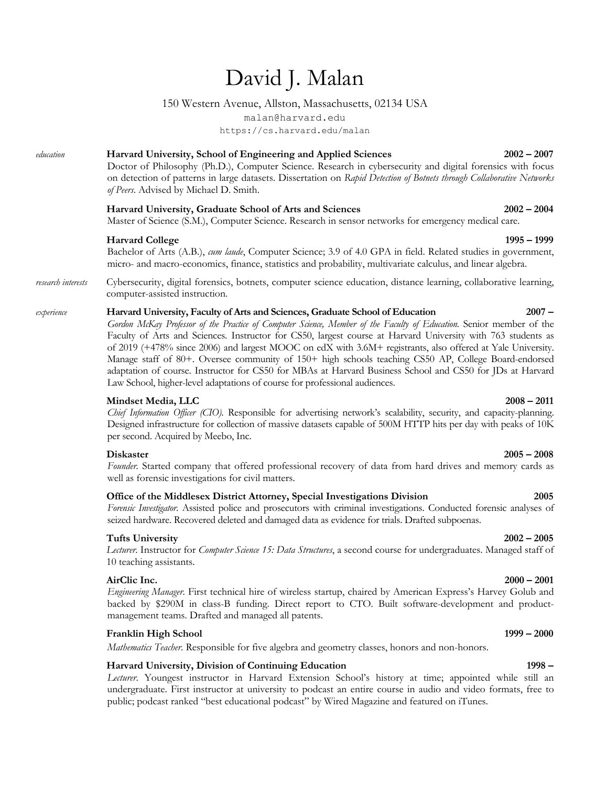# David J. Malan

### 150 Western Avenue, Allston, Massachusetts, 02134 USA

malan@harvard.edu https://cs.harvard.edu/malan

# *education* **Harvard University, School of Engineering and Applied Sciences 2002 – 2007**

Doctor of Philosophy (Ph.D.), Computer Science. Research in cybersecurity and digital forensics with focus on detection of patterns in large datasets. Dissertation on *Rapid Detection of Botnets through Collaborative Networks of Peers*. Advised by Michael D. Smith.

### **Harvard University, Graduate School of Arts and Sciences 2002 – 2004**

Master of Science (S.M.), Computer Science. Research in sensor networks for emergency medical care.

### **Harvard College 1995 – 1999**

Bachelor of Arts (A.B.), *cum laude*, Computer Science; 3.9 of 4.0 GPA in field. Related studies in government, micro- and macro-economics, finance, statistics and probability, multivariate calculus, and linear algebra.

*research interests* Cybersecurity, digital forensics, botnets, computer science education, distance learning, collaborative learning, computer-assisted instruction.

### *experience* **Harvard University, Faculty of Arts and Sciences, Graduate School of Education 2007 –**

*Gordon McKay Professor of the Practice of Computer Science, Member of the Faculty of Education.* Senior member of the Faculty of Arts and Sciences. Instructor for CS50, largest course at Harvard University with 763 students as of 2019 (+478% since 2006) and largest MOOC on edX with 3.6M+ registrants, also offered at Yale University. Manage staff of 80+. Oversee community of 150+ high schools teaching CS50 AP, College Board-endorsed adaptation of course. Instructor for CS50 for MBAs at Harvard Business School and CS50 for JDs at Harvard Law School, higher-level adaptations of course for professional audiences.

### **Mindset Media, LLC 2008 – 2011**

*Chief Information Officer (CIO)*. Responsible for advertising network's scalability, security, and capacity-planning. Designed infrastructure for collection of massive datasets capable of 500M HTTP hits per day with peaks of 10K per second. Acquired by Meebo, Inc.

### **Diskaster 2005 – 2008**

Founder. Started company that offered professional recovery of data from hard drives and memory cards as well as forensic investigations for civil matters.

### **Office of the Middlesex District Attorney, Special Investigations Division 2005**

*Forensic Investigator*. Assisted police and prosecutors with criminal investigations. Conducted forensic analyses of seized hardware. Recovered deleted and damaged data as evidence for trials. Drafted subpoenas.

### **Tufts University 2002 – 2005**

*Lecturer*. Instructor for *Computer Science 15: Data Structures*, a second course for undergraduates. Managed staff of 10 teaching assistants.

### **AirClic Inc. 2000 – 2001**

*Engineering Manager*. First technical hire of wireless startup, chaired by American Express's Harvey Golub and backed by \$290M in class-B funding. Direct report to CTO. Built software-development and productmanagement teams. Drafted and managed all patents.

# **Franklin High School 1999 – 2000**

*Mathematics Teacher*. Responsible for five algebra and geometry classes, honors and non-honors.

### **Harvard University, Division of Continuing Education 1998 –**

*Lecturer*. Youngest instructor in Harvard Extension School's history at time; appointed while still an undergraduate. First instructor at university to podcast an entire course in audio and video formats, free to public; podcast ranked "best educational podcast" by Wired Magazine and featured on iTunes.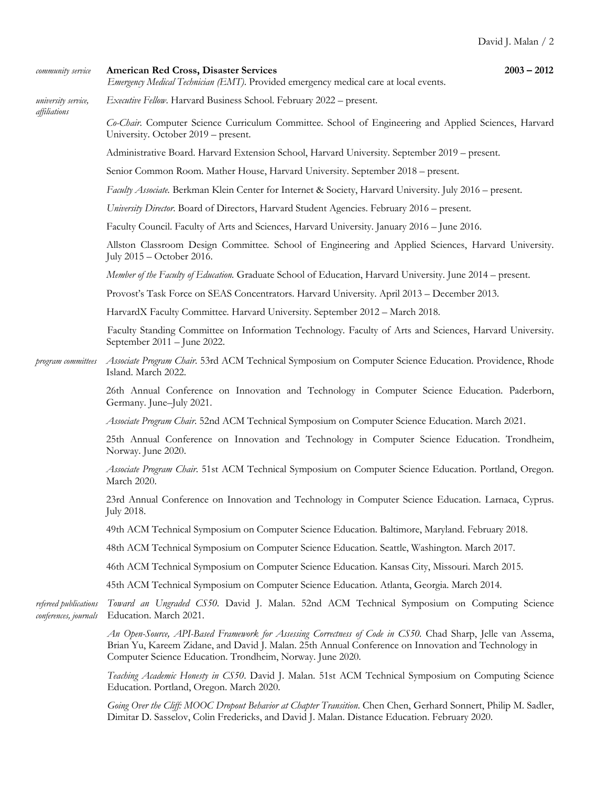### *community service* **American Red Cross, Disaster Services 2003 – 2012**

*Emergency Medical Technician (EMT)*. Provided emergency medical care at local events.

*university service, Executive Fellow*. Harvard Business School. February 2022 – present.

*affiliations*

*Co-Chair*. Computer Science Curriculum Committee. School of Engineering and Applied Sciences, Harvard University. October 2019 – present.

Administrative Board. Harvard Extension School, Harvard University. September 2019 – present.

Senior Common Room. Mather House, Harvard University. September 2018 – present.

*Faculty Associate.* Berkman Klein Center for Internet & Society, Harvard University. July 2016 – present.

*University Director*. Board of Directors, Harvard Student Agencies. February 2016 – present.

Faculty Council. Faculty of Arts and Sciences, Harvard University. January 2016 – June 2016.

Allston Classroom Design Committee*.* School of Engineering and Applied Sciences, Harvard University. July 2015 – October 2016.

*Member of the Faculty of Education.* Graduate School of Education, Harvard University. June 2014 – present.

Provost's Task Force on SEAS Concentrators. Harvard University. April 2013 – December 2013.

HarvardX Faculty Committee*.* Harvard University. September 2012 – March 2018.

Faculty Standing Committee on Information Technology*.* Faculty of Arts and Sciences, Harvard University. September 2011 – June 2022.

*program committees Associate Program Chair*. 53rd ACM Technical Symposium on Computer Science Education. Providence, Rhode Island. March 2022.

> 26th Annual Conference on Innovation and Technology in Computer Science Education. Paderborn, Germany. June–July 2021.

*Associate Program Chair*. 52nd ACM Technical Symposium on Computer Science Education. March 2021.

25th Annual Conference on Innovation and Technology in Computer Science Education. Trondheim, Norway. June 2020.

*Associate Program Chair*. 51st ACM Technical Symposium on Computer Science Education. Portland, Oregon. March 2020.

23rd Annual Conference on Innovation and Technology in Computer Science Education. Larnaca, Cyprus. July 2018.

49th ACM Technical Symposium on Computer Science Education. Baltimore, Maryland. February 2018.

48th ACM Technical Symposium on Computer Science Education. Seattle, Washington. March 2017.

46th ACM Technical Symposium on Computer Science Education. Kansas City, Missouri. March 2015.

45th ACM Technical Symposium on Computer Science Education. Atlanta, Georgia. March 2014.

*refereed publications Toward an Ungraded CS50*. David J. Malan. 52nd ACM Technical Symposium on Computing Science *conferences, journals* Education. March 2021.

> *An Open-Source, API-Based Framework for Assessing Correctness of Code in CS50.* Chad Sharp, Jelle van Assema, Brian Yu, Kareem Zidane, and David J. Malan. 25th Annual Conference on Innovation and Technology in Computer Science Education. Trondheim, Norway. June 2020.

> *Teaching Academic Honesty in CS50*. David J. Malan. 51st ACM Technical Symposium on Computing Science Education. Portland, Oregon. March 2020.

> *Going Over the Cliff: MOOC Dropout Behavior at Chapter Transition*. Chen Chen, Gerhard Sonnert, Philip M. Sadler, Dimitar D. Sasselov, Colin Fredericks, and David J. Malan. Distance Education. February 2020.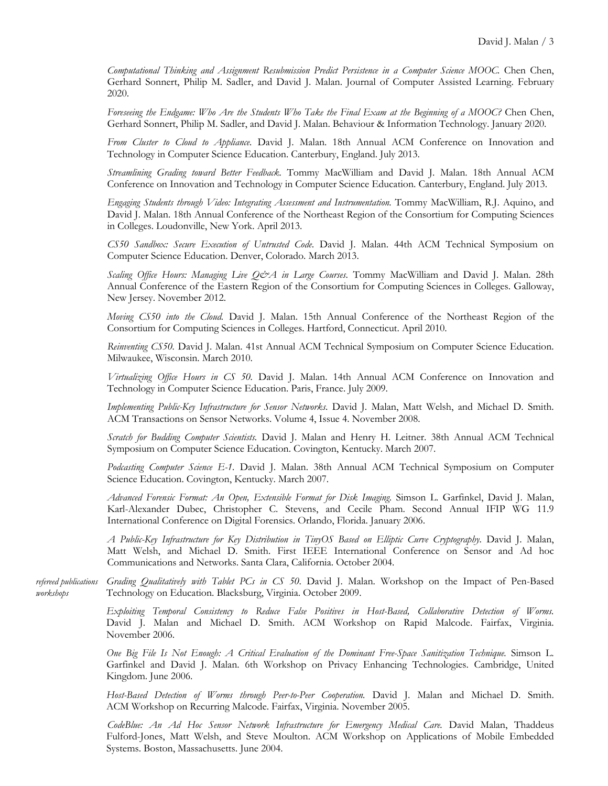*Computational Thinking and Assignment Resubmission Predict Persistence in a Computer Science MOOC.* Chen Chen, Gerhard Sonnert, Philip M. Sadler, and David J. Malan. Journal of Computer Assisted Learning. February 2020.

*Foreseeing the Endgame: Who Are the Students Who Take the Final Exam at the Beginning of a MOOC?* Chen Chen, Gerhard Sonnert, Philip M. Sadler, and David J. Malan. Behaviour & Information Technology. January 2020.

*From Cluster to Cloud to Appliance.* David J. Malan. 18th Annual ACM Conference on Innovation and Technology in Computer Science Education. Canterbury, England. July 2013.

*Streamlining Grading toward Better Feedback.* Tommy MacWilliam and David J. Malan. 18th Annual ACM Conference on Innovation and Technology in Computer Science Education. Canterbury, England. July 2013.

*Engaging Students through Video: Integrating Assessment and Instrumentation.* Tommy MacWilliam, R.J. Aquino, and David J. Malan. 18th Annual Conference of the Northeast Region of the Consortium for Computing Sciences in Colleges. Loudonville, New York. April 2013.

*CS50 Sandbox: Secure Execution of Untrusted Code*. David J. Malan. 44th ACM Technical Symposium on Computer Science Education. Denver, Colorado. March 2013.

*Scaling Office Hours: Managing Live Q&A in Large Courses*. Tommy MacWilliam and David J. Malan. 28th Annual Conference of the Eastern Region of the Consortium for Computing Sciences in Colleges. Galloway, New Jersey. November 2012.

*Moving CS50 into the Cloud.* David J. Malan. 15th Annual Conference of the Northeast Region of the Consortium for Computing Sciences in Colleges. Hartford, Connecticut. April 2010.

*Reinventing CS50.* David J. Malan. 41st Annual ACM Technical Symposium on Computer Science Education. Milwaukee, Wisconsin. March 2010.

*Virtualizing Office Hours in CS 50.* David J. Malan. 14th Annual ACM Conference on Innovation and Technology in Computer Science Education. Paris, France. July 2009.

*Implementing Public-Key Infrastructure for Sensor Networks*. David J. Malan, Matt Welsh, and Michael D. Smith. ACM Transactions on Sensor Networks. Volume 4, Issue 4. November 2008.

*Scratch for Budding Computer Scientists.* David J. Malan and Henry H. Leitner. 38th Annual ACM Technical Symposium on Computer Science Education. Covington, Kentucky. March 2007.

*Podcasting Computer Science E-1.* David J. Malan. 38th Annual ACM Technical Symposium on Computer Science Education. Covington, Kentucky. March 2007.

*Advanced Forensic Format: An Open, Extensible Format for Disk Imaging.* Simson L. Garfinkel, David J. Malan, Karl-Alexander Dubec, Christopher C. Stevens, and Cecile Pham. Second Annual IFIP WG 11.9 International Conference on Digital Forensics. Orlando, Florida. January 2006.

*A Public-Key Infrastructure for Key Distribution in TinyOS Based on Elliptic Curve Cryptography*. David J. Malan, Matt Welsh, and Michael D. Smith. First IEEE International Conference on Sensor and Ad hoc Communications and Networks. Santa Clara, California. October 2004.

*refereed publications Grading Qualitatively with Tablet PCs in CS 50*. David J. Malan. Workshop on the Impact of Pen-Based *workshops* Technology on Education. Blacksburg, Virginia. October 2009.

> *Exploiting Temporal Consistency to Reduce False Positives in Host-Based, Collaborative Detection of Worms.* David J. Malan and Michael D. Smith. ACM Workshop on Rapid Malcode. Fairfax, Virginia. November 2006.

> *One Big File Is Not Enough: A Critical Evaluation of the Dominant Free-Space Sanitization Technique.* Simson L. Garfinkel and David J. Malan. 6th Workshop on Privacy Enhancing Technologies. Cambridge, United Kingdom. June 2006.

> *Host-Based Detection of Worms through Peer-to-Peer Cooperation.* David J. Malan and Michael D. Smith. ACM Workshop on Recurring Malcode. Fairfax, Virginia. November 2005.

> *CodeBlue: An Ad Hoc Sensor Network Infrastructure for Emergency Medical Care.* David Malan, Thaddeus Fulford-Jones, Matt Welsh, and Steve Moulton. ACM Workshop on Applications of Mobile Embedded Systems. Boston, Massachusetts. June 2004.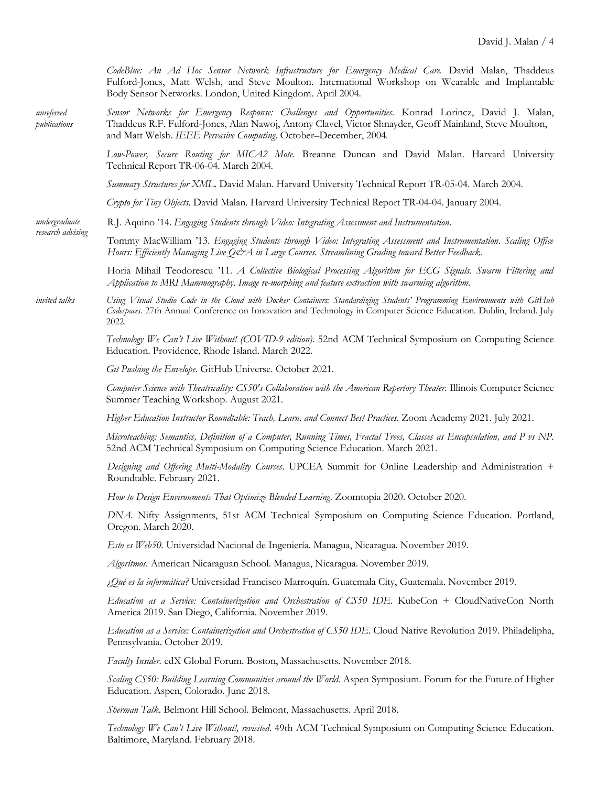*CodeBlue: An Ad Hoc Sensor Network Infrastructure for Emergency Medical Care.* David Malan, Thaddeus Fulford-Jones, Matt Welsh, and Steve Moulton. International Workshop on Wearable and Implantable Body Sensor Networks. London, United Kingdom. April 2004.

*unrefereed Sensor Networks for Emergency Response: Challenges and Opportunities*. Konrad Lorincz, David J. Malan, *publications* Thaddeus R.F. Fulford-Jones, Alan Nawoj, Antony Clavel, Victor Shnayder, Geoff Mainland, Steve Moulton, and Matt Welsh. *IEEE Pervasive Computing*. October–December, 2004*.*

> *Low-Power, Secure Routing for MICA2 Mote*. Breanne Duncan and David Malan. Harvard University Technical Report TR-06-04. March 2004.

*Summary Structures for XML*. David Malan. Harvard University Technical Report TR-05-04. March 2004.

*Crypto for Tiny Objects.* David Malan. Harvard University Technical Report TR-04-04. January 2004.

*undergraduate* R.J. Aquino '14. *Engaging Students through Video: Integrating Assessment and Instrumentation*.

> Tommy MacWilliam '13. *Engaging Students through Video: Integrating Assessment and Instrumentation*. *Scaling Office Hours: Efficiently Managing Live Q&A in Large Courses*. *Streamlining Grading toward Better Feedback*.

Horia Mihail Teodorescu '11. *A Collective Biological Processing Algorithm for ECG Signals*. *Swarm Filtering and Application to MRI Mammography*. *Image re-morphing and feature extraction with swarming algorithm*.

*invited talks Using Visual Studio Code in the Cloud with Docker Containers: Standardizing Students' Programming Environments with GitHub Codespaces.* 27th Annual Conference on Innovation and Technology in Computer Science Education. Dublin, Ireland. July 2022.

> *Technology We Can't Live Without! (COVID-9 edition)*. 52nd ACM Technical Symposium on Computing Science Education. Providence, Rhode Island. March 2022.

*Git Pushing the Envelope*. GitHub Universe. October 2021.

*research advising*

*Computer Science with Theatricality: CS50's Collaboration with the American Repertory Theater*. Illinois Computer Science Summer Teaching Workshop. August 2021.

*Higher Education Instructor Roundtable: Teach, Learn, and Connect Best Practices*. Zoom Academy 2021. July 2021.

*Microteaching: Semantics, Definition of a Computer, Running Times, Fractal Trees, Classes as Encapsulation, and P vs NP*. 52nd ACM Technical Symposium on Computing Science Education. March 2021.

*Designing and Offering Multi-Modality Courses*. UPCEA Summit for Online Leadership and Administration + Roundtable. February 2021.

*How to Design Environments That Optimize Blended Learning*. Zoomtopia 2020. October 2020.

*DNA.* Nifty Assignments, 51st ACM Technical Symposium on Computing Science Education. Portland, Oregon. March 2020.

*Esto es Web50.* Universidad Nacional de Ingeniería. Managua, Nicaragua. November 2019.

*Algorítmos.* American Nicaraguan School. Managua, Nicaragua. November 2019.

*¿Qué es la informática?* Universidad Francisco Marroquín. Guatemala City, Guatemala. November 2019.

*Education as a Service: Containerization and Orchestration of CS50 IDE*. KubeCon + CloudNativeCon North America 2019. San Diego, California. November 2019.

*Education as a Service: Containerization and Orchestration of CS50 IDE*. Cloud Native Revolution 2019. Philadelipha, Pennsylvania. October 2019.

*Faculty Insider.* edX Global Forum. Boston, Massachusetts. November 2018.

*Scaling CS50: Building Learning Communities around the World*. Aspen Symposium. Forum for the Future of Higher Education. Aspen, Colorado. June 2018.

*Sherman Talk*. Belmont Hill School. Belmont, Massachusetts. April 2018.

*Technology We Can't Live Without!, revisited*. 49th ACM Technical Symposium on Computing Science Education. Baltimore, Maryland. February 2018.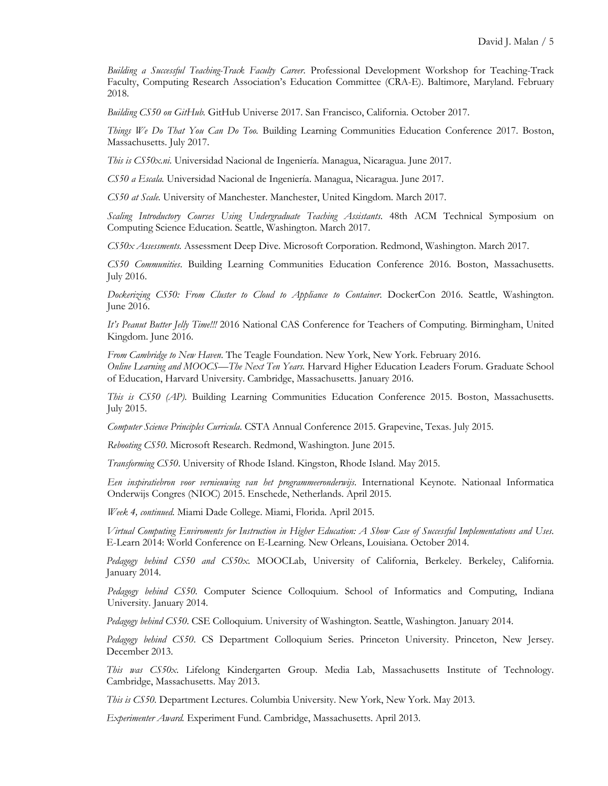*Building a Successful Teaching-Track Faculty Career*. Professional Development Workshop for Teaching-Track Faculty, Computing Research Association's Education Committee (CRA-E). Baltimore, Maryland. February 2018.

*Building CS50 on GitHub.* GitHub Universe 2017. San Francisco, California. October 2017.

*Things We Do That You Can Do Too.* Building Learning Communities Education Conference 2017. Boston, Massachusetts. July 2017.

*This is CS50x.ni*. Universidad Nacional de Ingeniería. Managua, Nicaragua. June 2017.

*CS50 a Escala.* Universidad Nacional de Ingeniería. Managua, Nicaragua. June 2017.

*CS50 at Scale.* University of Manchester. Manchester, United Kingdom. March 2017.

*Scaling Introductory Courses Using Undergraduate Teaching Assistants*. 48th ACM Technical Symposium on Computing Science Education. Seattle, Washington. March 2017.

*CS50x Assessments.* Assessment Deep Dive. Microsoft Corporation. Redmond, Washington. March 2017.

*CS50 Communities*. Building Learning Communities Education Conference 2016. Boston, Massachusetts. July 2016.

*Dockerizing CS50: From Cluster to Cloud to Appliance to Container*. DockerCon 2016. Seattle, Washington. June 2016.

*It's Peanut Butter Jelly Time!!!* 2016 National CAS Conference for Teachers of Computing. Birmingham, United Kingdom. June 2016.

*From Cambridge to New Haven*. The Teagle Foundation. New York, New York. February 2016. *Online Learning and MOOCS—The Next Ten Years.* Harvard Higher Education Leaders Forum. Graduate School of Education, Harvard University. Cambridge, Massachusetts. January 2016.

*This is CS50 (AP)*. Building Learning Communities Education Conference 2015. Boston, Massachusetts. July 2015.

*Computer Science Principles Curricula*. CSTA Annual Conference 2015. Grapevine, Texas. July 2015.

*Rebooting CS50*. Microsoft Research. Redmond, Washington. June 2015.

*Transforming CS50*. University of Rhode Island. Kingston, Rhode Island. May 2015.

*Een inspiratiebron voor vernieuwing van het programmeeronderwijs*. International Keynote. Nationaal Informatica Onderwijs Congres (NIOC) 2015. Enschede, Netherlands. April 2015.

*Week 4, continued.* Miami Dade College. Miami, Florida. April 2015.

*Virtual Computing Enviroments for Instruction in Higher Education: A Show Case of Successful Implementations and Uses*. E-Learn 2014: World Conference on E-Learning. New Orleans, Louisiana. October 2014.

*Pedagogy behind CS50 and CS50x*. MOOCLab, University of California, Berkeley. Berkeley, California. January 2014.

*Pedagogy behind CS50.* Computer Science Colloquium. School of Informatics and Computing, Indiana University. January 2014.

*Pedagogy behind CS50*. CSE Colloquium. University of Washington. Seattle, Washington. January 2014.

*Pedagogy behind CS50*. CS Department Colloquium Series. Princeton University. Princeton, New Jersey. December 2013.

*This was CS50x*. Lifelong Kindergarten Group. Media Lab, Massachusetts Institute of Technology. Cambridge, Massachusetts. May 2013.

*This is CS50.* Department Lectures. Columbia University. New York, New York. May 2013.

*Experimenter Award.* Experiment Fund. Cambridge, Massachusetts. April 2013.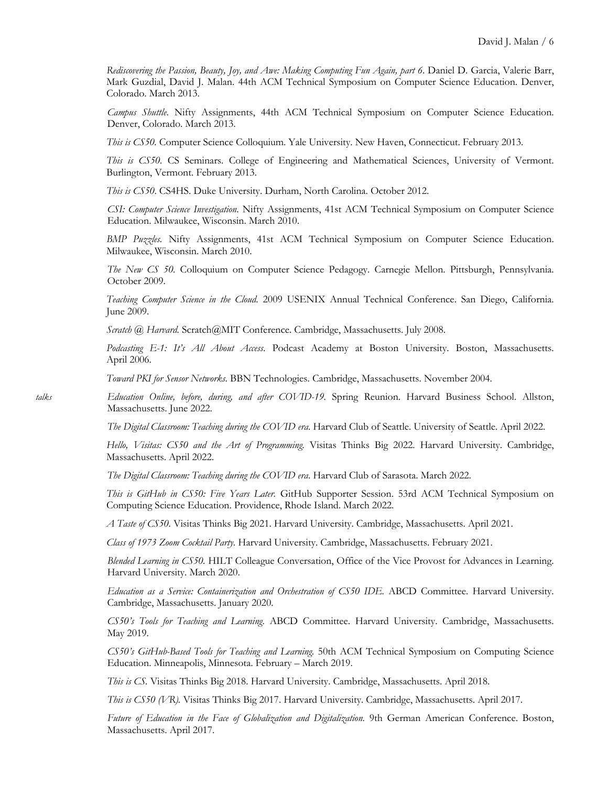*Rediscovering the Passion, Beauty, Joy, and Awe: Making Computing Fun Again, part 6*. Daniel D. Garcia, Valerie Barr, Mark Guzdial, David J. Malan. 44th ACM Technical Symposium on Computer Science Education. Denver, Colorado. March 2013.

*Campus Shuttle*. Nifty Assignments, 44th ACM Technical Symposium on Computer Science Education. Denver, Colorado. March 2013.

*This is CS50.* Computer Science Colloquium. Yale University. New Haven, Connecticut. February 2013.

*This is CS50.* CS Seminars. College of Engineering and Mathematical Sciences, University of Vermont. Burlington, Vermont. February 2013.

*This is CS50*. CS4HS. Duke University. Durham, North Carolina. October 2012.

*CSI: Computer Science Investigation*. Nifty Assignments, 41st ACM Technical Symposium on Computer Science Education. Milwaukee, Wisconsin. March 2010.

*BMP Puzzles.* Nifty Assignments, 41st ACM Technical Symposium on Computer Science Education. Milwaukee, Wisconsin. March 2010.

*The New CS 50.* Colloquium on Computer Science Pedagogy. Carnegie Mellon. Pittsburgh, Pennsylvania. October 2009.

*Teaching Computer Science in the Cloud.* 2009 USENIX Annual Technical Conference. San Diego, California. June 2009.

*Scratch @ Harvard.* Scratch@MIT Conference. Cambridge, Massachusetts. July 2008.

*Podcasting E-1: It's All About Access*. Podcast Academy at Boston University. Boston, Massachusetts. April 2006.

*Toward PKI for Sensor Networks*. BBN Technologies. Cambridge, Massachusetts. November 2004.

*talks Education Online, before, during, and after COVID-19.* Spring Reunion. Harvard Business School. Allston, Massachusetts. June 2022.

*The Digital Classroom: Teaching during the COVID era*. Harvard Club of Seattle. University of Seattle. April 2022.

*Hello, Visitas: CS50 and the Art of Programming.* Visitas Thinks Big 2022. Harvard University. Cambridge, Massachusetts. April 2022.

*The Digital Classroom: Teaching during the COVID era*. Harvard Club of Sarasota. March 2022.

*This is GitHub in CS50: Five Years Later.* GitHub Supporter Session. 53rd ACM Technical Symposium on Computing Science Education. Providence, Rhode Island. March 2022.

*A Taste of CS50.* Visitas Thinks Big 2021. Harvard University. Cambridge, Massachusetts. April 2021.

*Class of 1973 Zoom Cocktail Party.* Harvard University. Cambridge, Massachusetts. February 2021.

*Blended Learning in CS50.* HILT Colleague Conversation, Office of the Vice Provost for Advances in Learning. Harvard University. March 2020.

*Education as a Service: Containerization and Orchestration of CS50 IDE.* ABCD Committee. Harvard University. Cambridge, Massachusetts. January 2020.

*CS50's Tools for Teaching and Learning*. ABCD Committee. Harvard University. Cambridge, Massachusetts. May 2019.

*CS50's GitHub-Based Tools for Teaching and Learning.* 50th ACM Technical Symposium on Computing Science Education. Minneapolis, Minnesota. February – March 2019.

*This is CS.* Visitas Thinks Big 2018. Harvard University. Cambridge, Massachusetts. April 2018.

*This is CS50 (VR).* Visitas Thinks Big 2017. Harvard University. Cambridge, Massachusetts. April 2017.

*Future of Education in the Face of Globalization and Digitalization.* 9th German American Conference. Boston, Massachusetts. April 2017.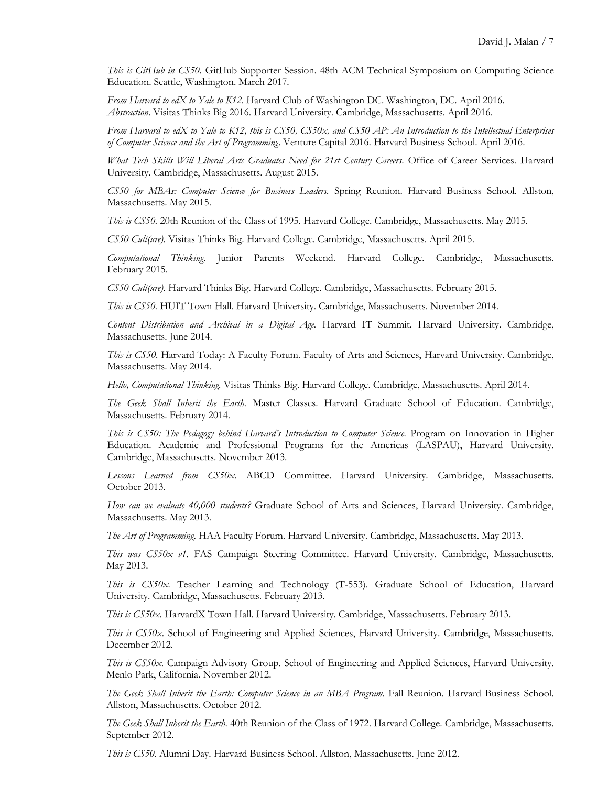*This is GitHub in CS50.* GitHub Supporter Session. 48th ACM Technical Symposium on Computing Science Education. Seattle, Washington. March 2017.

*From Harvard to edX to Yale to K12*. Harvard Club of Washington DC. Washington, DC. April 2016. *Abstraction*. Visitas Thinks Big 2016. Harvard University. Cambridge, Massachusetts. April 2016.

*From Harvard to edX to Yale to K12, this is CS50, CS50x, and CS50 AP: An Introduction to the Intellectual Enterprises of Computer Science and the Art of Programming*. Venture Capital 2016. Harvard Business School. April 2016.

*What Tech Skills Will Liberal Arts Graduates Need for 21st Century Careers*. Office of Career Services. Harvard University. Cambridge, Massachusetts. August 2015.

*CS50 for MBAs: Computer Science for Business Leaders.* Spring Reunion. Harvard Business School. Allston, Massachusetts. May 2015.

*This is CS50.* 20th Reunion of the Class of 1995. Harvard College. Cambridge, Massachusetts. May 2015.

*CS50 Cult(ure).* Visitas Thinks Big. Harvard College. Cambridge, Massachusetts. April 2015.

*Computational Thinking.* Junior Parents Weekend. Harvard College. Cambridge, Massachusetts. February 2015.

*CS50 Cult(ure).* Harvard Thinks Big. Harvard College. Cambridge, Massachusetts. February 2015.

*This is CS50.* HUIT Town Hall. Harvard University. Cambridge, Massachusetts. November 2014.

*Content Distribution and Archival in a Digital Age.* Harvard IT Summit. Harvard University. Cambridge, Massachusetts. June 2014.

*This is CS50.* Harvard Today: A Faculty Forum. Faculty of Arts and Sciences, Harvard University. Cambridge, Massachusetts. May 2014.

*Hello, Computational Thinking.* Visitas Thinks Big. Harvard College. Cambridge, Massachusetts. April 2014.

*The Geek Shall Inherit the Earth.* Master Classes. Harvard Graduate School of Education. Cambridge, Massachusetts. February 2014.

*This is CS50: The Pedagogy behind Harvard's Introduction to Computer Science.* Program on Innovation in Higher Education. Academic and Professional Programs for the Americas (LASPAU), Harvard University. Cambridge, Massachusetts. November 2013.

*Lessons Learned from CS50x*. ABCD Committee. Harvard University. Cambridge, Massachusetts. October 2013.

*How can we evaluate 40,000 students?* Graduate School of Arts and Sciences, Harvard University. Cambridge, Massachusetts. May 2013.

*The Art of Programming*. HAA Faculty Forum. Harvard University. Cambridge, Massachusetts. May 2013.

*This was CS50x v1*. FAS Campaign Steering Committee. Harvard University. Cambridge, Massachusetts. May 2013.

*This is CS50x.* Teacher Learning and Technology (T-553). Graduate School of Education, Harvard University. Cambridge, Massachusetts. February 2013.

*This is CS50x.* HarvardX Town Hall. Harvard University. Cambridge, Massachusetts. February 2013.

*This is CS50x.* School of Engineering and Applied Sciences, Harvard University. Cambridge, Massachusetts. December 2012.

*This is CS50x*. Campaign Advisory Group. School of Engineering and Applied Sciences, Harvard University. Menlo Park, California. November 2012.

*The Geek Shall Inherit the Earth: Computer Science in an MBA Program*. Fall Reunion. Harvard Business School. Allston, Massachusetts. October 2012.

*The Geek Shall Inherit the Earth*. 40th Reunion of the Class of 1972. Harvard College. Cambridge, Massachusetts. September 2012.

*This is CS50*. Alumni Day. Harvard Business School. Allston, Massachusetts. June 2012.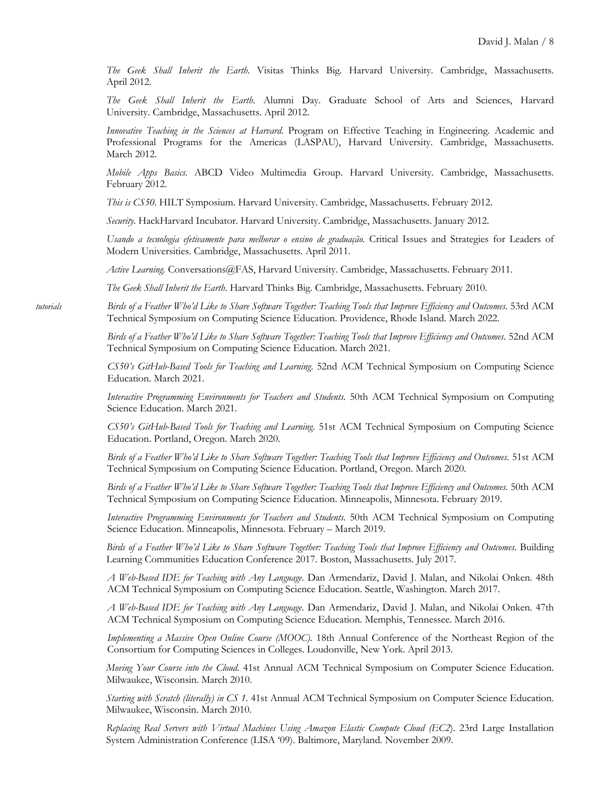*The Geek Shall Inherit the Earth*. Visitas Thinks Big. Harvard University. Cambridge, Massachusetts. April 2012.

*The Geek Shall Inherit the Earth*. Alumni Day. Graduate School of Arts and Sciences, Harvard University. Cambridge, Massachusetts. April 2012.

*Innovative Teaching in the Sciences at Harvard*. Program on Effective Teaching in Engineering. Academic and Professional Programs for the Americas (LASPAU), Harvard University. Cambridge, Massachusetts. March 2012.

*Mobile Apps Basics*. ABCD Video Multimedia Group. Harvard University. Cambridge, Massachusetts. February 2012.

*This is CS50*. HILT Symposium. Harvard University. Cambridge, Massachusetts. February 2012.

*Security*. HackHarvard Incubator. Harvard University. Cambridge, Massachusetts. January 2012.

*Usando a tecnologia efetivamente para melhorar o ensino de graduação.* Critical Issues and Strategies for Leaders of Modern Universities. Cambridge, Massachusetts. April 2011.

*Active Learning.* Conversations@FAS, Harvard University. Cambridge, Massachusetts. February 2011.

*The Geek Shall Inherit the Earth*. Harvard Thinks Big. Cambridge, Massachusetts. February 2010.

*tutorials Birds of a Feather Who'd Like to Share Software Together: Teaching Tools that Improve Efficiency and Outcomes*. 53rd ACM Technical Symposium on Computing Science Education. Providence, Rhode Island. March 2022.

> *Birds of a Feather Who'd Like to Share Software Together: Teaching Tools that Improve Efficiency and Outcomes*. 52nd ACM Technical Symposium on Computing Science Education. March 2021.

> *CS50's GitHub-Based Tools for Teaching and Learning*. 52nd ACM Technical Symposium on Computing Science Education. March 2021.

> *Interactive Programming Environments for Teachers and Students.* 50th ACM Technical Symposium on Computing Science Education. March 2021.

> *CS50's GitHub-Based Tools for Teaching and Learning*. 51st ACM Technical Symposium on Computing Science Education. Portland, Oregon. March 2020.

> *Birds of a Feather Who'd Like to Share Software Together: Teaching Tools that Improve Efficiency and Outcomes*. 51st ACM Technical Symposium on Computing Science Education. Portland, Oregon. March 2020.

> *Birds of a Feather Who'd Like to Share Software Together: Teaching Tools that Improve Efficiency and Outcomes*. 50th ACM Technical Symposium on Computing Science Education. Minneapolis, Minnesota. February 2019.

> *Interactive Programming Environments for Teachers and Students.* 50th ACM Technical Symposium on Computing Science Education. Minneapolis, Minnesota. February – March 2019.

> *Birds of a Feather Who'd Like to Share Software Together: Teaching Tools that Improve Efficiency and Outcomes*. Building Learning Communities Education Conference 2017. Boston, Massachusetts. July 2017.

> *A Web-Based IDE for Teaching with Any Language*. Dan Armendariz, David J. Malan, and Nikolai Onken. 48th ACM Technical Symposium on Computing Science Education. Seattle, Washington. March 2017.

> *A Web-Based IDE for Teaching with Any Language*. Dan Armendariz, David J. Malan, and Nikolai Onken. 47th ACM Technical Symposium on Computing Science Education. Memphis, Tennessee. March 2016.

> *Implementing a Massive Open Online Course (MOOC).* 18th Annual Conference of the Northeast Region of the Consortium for Computing Sciences in Colleges. Loudonville, New York. April 2013.

> *Moving Your Course into the Cloud*. 41st Annual ACM Technical Symposium on Computer Science Education. Milwaukee, Wisconsin. March 2010.

> *Starting with Scratch (literally) in CS 1*. 41st Annual ACM Technical Symposium on Computer Science Education. Milwaukee, Wisconsin. March 2010.

> *Replacing Real Servers with Virtual Machines Using Amazon Elastic Compute Cloud (EC2*). 23rd Large Installation System Administration Conference (LISA '09). Baltimore, Maryland. November 2009.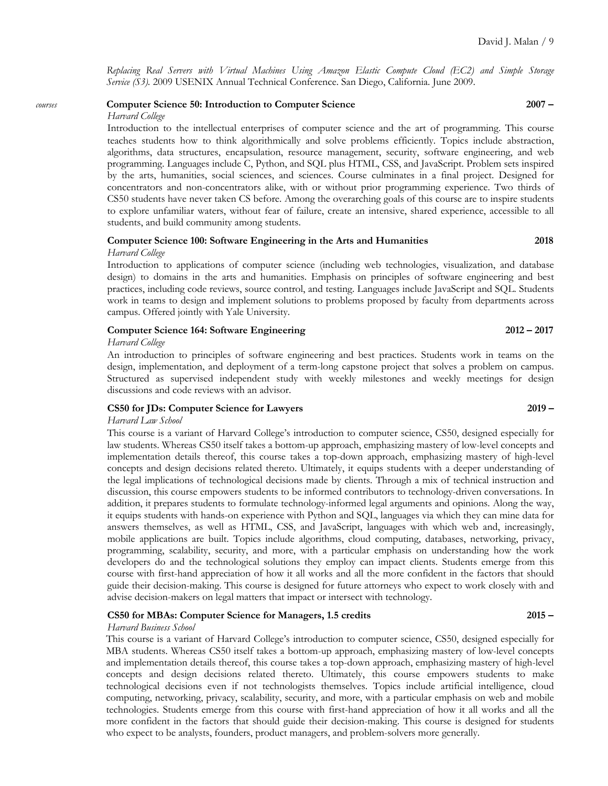*Replacing Real Servers with Virtual Machines Using Amazon Elastic Compute Cloud (EC2) and Simple Storage Service (S3).* 2009 USENIX Annual Technical Conference. San Diego, California. June 2009.

# *courses* **Computer Science 50: Introduction to Computer Science 2007 –**

### *Harvard College*

Introduction to the intellectual enterprises of computer science and the art of programming. This course teaches students how to think algorithmically and solve problems efficiently. Topics include abstraction, algorithms, data structures, encapsulation, resource management, security, software engineering, and web programming. Languages include C, Python, and SQL plus HTML, CSS, and JavaScript. Problem sets inspired by the arts, humanities, social sciences, and sciences. Course culminates in a final project. Designed for concentrators and non-concentrators alike, with or without prior programming experience. Two thirds of CS50 students have never taken CS before. Among the overarching goals of this course are to inspire students to explore unfamiliar waters, without fear of failure, create an intensive, shared experience, accessible to all students, and build community among students.

### **Computer Science 100: Software Engineering in the Arts and Humanities 2018** *Harvard College*

Introduction to applications of computer science (including web technologies, visualization, and database design) to domains in the arts and humanities. Emphasis on principles of software engineering and best practices, including code reviews, source control, and testing. Languages include JavaScript and SQL. Students work in teams to design and implement solutions to problems proposed by faculty from departments across campus. Offered jointly with Yale University.

### **Computer Science 164: Software Engineering 2012 – 2017**

### *Harvard College*

An introduction to principles of software engineering and best practices. Students work in teams on the design, implementation, and deployment of a term-long capstone project that solves a problem on campus. Structured as supervised independent study with weekly milestones and weekly meetings for design discussions and code reviews with an advisor.

### **CS50 for JDs: Computer Science for Lawyers 2019 –**

### *Harvard Law School*

This course is a variant of Harvard College's introduction to computer science, CS50, designed especially for law students. Whereas CS50 itself takes a bottom-up approach, emphasizing mastery of low-level concepts and implementation details thereof, this course takes a top-down approach, emphasizing mastery of high-level concepts and design decisions related thereto. Ultimately, it equips students with a deeper understanding of the legal implications of technological decisions made by clients. Through a mix of technical instruction and discussion, this course empowers students to be informed contributors to technology-driven conversations. In addition, it prepares students to formulate technology-informed legal arguments and opinions. Along the way, it equips students with hands-on experience with Python and SQL, languages via which they can mine data for answers themselves, as well as HTML, CSS, and JavaScript, languages with which web and, increasingly, mobile applications are built. Topics include algorithms, cloud computing, databases, networking, privacy, programming, scalability, security, and more, with a particular emphasis on understanding how the work developers do and the technological solutions they employ can impact clients. Students emerge from this course with first-hand appreciation of how it all works and all the more confident in the factors that should guide their decision-making. This course is designed for future attorneys who expect to work closely with and advise decision-makers on legal matters that impact or intersect with technology.

### **CS50 for MBAs: Computer Science for Managers, 1.5 credits 2015 –**

### *Harvard Business School*

This course is a variant of Harvard College's introduction to computer science, CS50, designed especially for MBA students. Whereas CS50 itself takes a bottom-up approach, emphasizing mastery of low-level concepts and implementation details thereof, this course takes a top-down approach, emphasizing mastery of high-level concepts and design decisions related thereto. Ultimately, this course empowers students to make technological decisions even if not technologists themselves. Topics include artificial intelligence, cloud computing, networking, privacy, scalability, security, and more, with a particular emphasis on web and mobile technologies. Students emerge from this course with first-hand appreciation of how it all works and all the more confident in the factors that should guide their decision-making. This course is designed for students who expect to be analysts, founders, product managers, and problem-solvers more generally.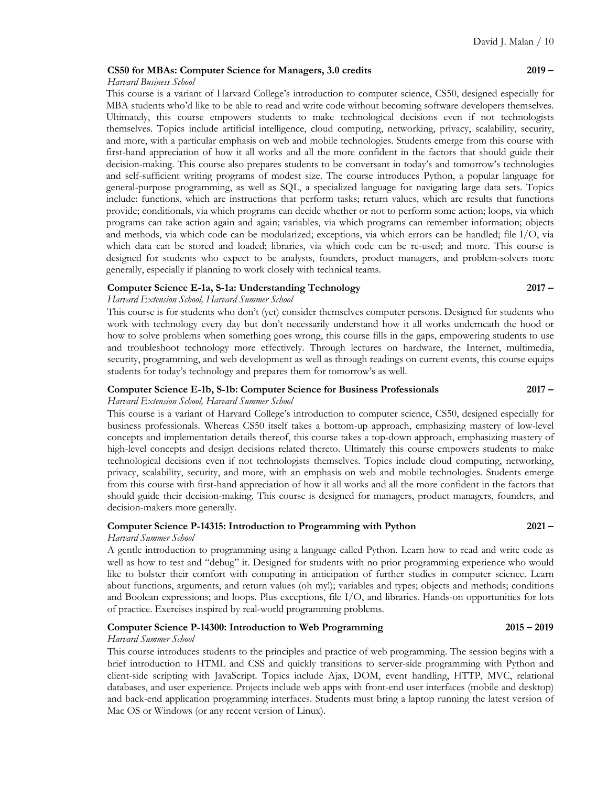### **CS50 for MBAs: Computer Science for Managers, 3.0 credits 2019 –**

### *Harvard Business School*

This course is a variant of Harvard College's introduction to computer science, CS50, designed especially for MBA students who'd like to be able to read and write code without becoming software developers themselves. Ultimately, this course empowers students to make technological decisions even if not technologists themselves. Topics include artificial intelligence, cloud computing, networking, privacy, scalability, security, and more, with a particular emphasis on web and mobile technologies. Students emerge from this course with first-hand appreciation of how it all works and all the more confident in the factors that should guide their decision-making. This course also prepares students to be conversant in today's and tomorrow's technologies and self-sufficient writing programs of modest size. The course introduces Python, a popular language for general-purpose programming, as well as SQL, a specialized language for navigating large data sets. Topics include: functions, which are instructions that perform tasks; return values, which are results that functions provide; conditionals, via which programs can decide whether or not to perform some action; loops, via which programs can take action again and again; variables, via which programs can remember information; objects and methods, via which code can be modularized; exceptions, via which errors can be handled; file I/O, via which data can be stored and loaded; libraries, via which code can be re-used; and more. This course is designed for students who expect to be analysts, founders, product managers, and problem-solvers more generally, especially if planning to work closely with technical teams.

### **Computer Science E-1a, S-1a: Understanding Technology 2017 –**

### *Harvard Extension School, Harvard Summer School*

This course is for students who don't (yet) consider themselves computer persons. Designed for students who work with technology every day but don't necessarily understand how it all works underneath the hood or how to solve problems when something goes wrong, this course fills in the gaps, empowering students to use and troubleshoot technology more effectively. Through lectures on hardware, the Internet, multimedia, security, programming, and web development as well as through readings on current events, this course equips students for today's technology and prepares them for tomorrow's as well.

### **Computer Science E-1b, S-1b: Computer Science for Business Professionals 2017 –** *Harvard Extension School, Harvard Summer School*

This course is a variant of Harvard College's introduction to computer science, CS50, designed especially for business professionals. Whereas CS50 itself takes a bottom-up approach, emphasizing mastery of low-level concepts and implementation details thereof, this course takes a top-down approach, emphasizing mastery of high-level concepts and design decisions related thereto. Ultimately this course empowers students to make technological decisions even if not technologists themselves. Topics include cloud computing, networking, privacy, scalability, security, and more, with an emphasis on web and mobile technologies. Students emerge from this course with first-hand appreciation of how it all works and all the more confident in the factors that should guide their decision-making. This course is designed for managers, product managers, founders, and decision-makers more generally.

### **Computer Science P-14315: Introduction to Programming with Python 2021 –**

### *Harvard Summer School*

A gentle introduction to programming using a language called Python. Learn how to read and write code as well as how to test and "debug" it. Designed for students with no prior programming experience who would like to bolster their comfort with computing in anticipation of further studies in computer science. Learn about functions, arguments, and return values (oh my!); variables and types; objects and methods; conditions and Boolean expressions; and loops. Plus exceptions, file I/O, and libraries. Hands-on opportunities for lots of practice. Exercises inspired by real-world programming problems.

### **Computer Science P-14300: Introduction to Web Programming 2015 – 2019**

### *Harvard Summer School*

This course introduces students to the principles and practice of web programming. The session begins with a brief introduction to HTML and CSS and quickly transitions to server-side programming with Python and client-side scripting with JavaScript. Topics include Ajax, DOM, event handling, HTTP, MVC, relational databases, and user experience. Projects include web apps with front-end user interfaces (mobile and desktop) and back-end application programming interfaces. Students must bring a laptop running the latest version of Mac OS or Windows (or any recent version of Linux).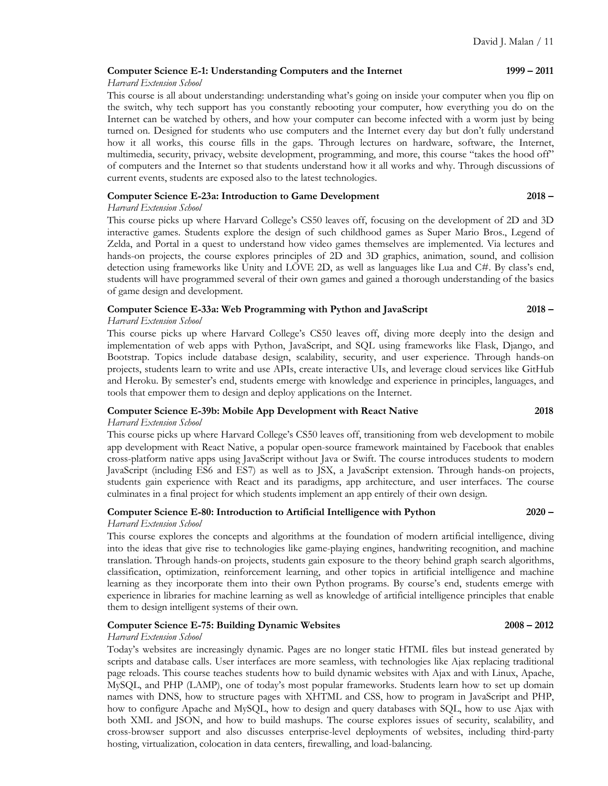### **Computer Science E-1: Understanding Computers and the Internet 1999 – 2011**

### *Harvard Extension School*

This course is all about understanding: understanding what's going on inside your computer when you flip on the switch, why tech support has you constantly rebooting your computer, how everything you do on the Internet can be watched by others, and how your computer can become infected with a worm just by being turned on. Designed for students who use computers and the Internet every day but don't fully understand how it all works, this course fills in the gaps. Through lectures on hardware, software, the Internet, multimedia, security, privacy, website development, programming, and more, this course "takes the hood off" of computers and the Internet so that students understand how it all works and why. Through discussions of current events, students are exposed also to the latest technologies.

### **Computer Science E-23a: Introduction to Game Development 2018 –**

### *Harvard Extension School*

This course picks up where Harvard College's CS50 leaves off, focusing on the development of 2D and 3D interactive games. Students explore the design of such childhood games as Super Mario Bros., Legend of Zelda, and Portal in a quest to understand how video games themselves are implemented. Via lectures and hands-on projects, the course explores principles of 2D and 3D graphics, animation, sound, and collision detection using frameworks like Unity and LÖVE 2D, as well as languages like Lua and C#. By class's end, students will have programmed several of their own games and gained a thorough understanding of the basics of game design and development.

### **Computer Science E-33a: Web Programming with Python and JavaScript 2018 –**

### *Harvard Extension School*

This course picks up where Harvard College's CS50 leaves off, diving more deeply into the design and implementation of web apps with Python, JavaScript, and SQL using frameworks like Flask, Django, and Bootstrap. Topics include database design, scalability, security, and user experience. Through hands-on projects, students learn to write and use APIs, create interactive UIs, and leverage cloud services like GitHub and Heroku. By semester's end, students emerge with knowledge and experience in principles, languages, and tools that empower them to design and deploy applications on the Internet.

### **Computer Science E-39b: Mobile App Development with React Native 2018**

### *Harvard Extension School*

This course picks up where Harvard College's CS50 leaves off, transitioning from web development to mobile app development with React Native, a popular open-source framework maintained by Facebook that enables cross-platform native apps using JavaScript without Java or Swift. The course introduces students to modern JavaScript (including ES6 and ES7) as well as to JSX, a JavaScript extension. Through hands-on projects, students gain experience with React and its paradigms, app architecture, and user interfaces. The course culminates in a final project for which students implement an app entirely of their own design.

# **Computer Science E-80: Introduction to Artificial Intelligence with Python 2020 –**

### *Harvard Extension School*

This course explores the concepts and algorithms at the foundation of modern artificial intelligence, diving into the ideas that give rise to technologies like game-playing engines, handwriting recognition, and machine translation. Through hands-on projects, students gain exposure to the theory behind graph search algorithms, classification, optimization, reinforcement learning, and other topics in artificial intelligence and machine learning as they incorporate them into their own Python programs. By course's end, students emerge with experience in libraries for machine learning as well as knowledge of artificial intelligence principles that enable them to design intelligent systems of their own.

### **Computer Science E-75: Building Dynamic Websites 2008 – 2012**

### *Harvard Extension School*

Today's websites are increasingly dynamic. Pages are no longer static HTML files but instead generated by scripts and database calls. User interfaces are more seamless, with technologies like Ajax replacing traditional page reloads. This course teaches students how to build dynamic websites with Ajax and with Linux, Apache, MySQL, and PHP (LAMP), one of today's most popular frameworks. Students learn how to set up domain names with DNS, how to structure pages with XHTML and CSS, how to program in JavaScript and PHP, how to configure Apache and MySQL, how to design and query databases with SQL, how to use Ajax with both XML and JSON, and how to build mashups. The course explores issues of security, scalability, and cross-browser support and also discusses enterprise-level deployments of websites, including third-party hosting, virtualization, colocation in data centers, firewalling, and load-balancing.